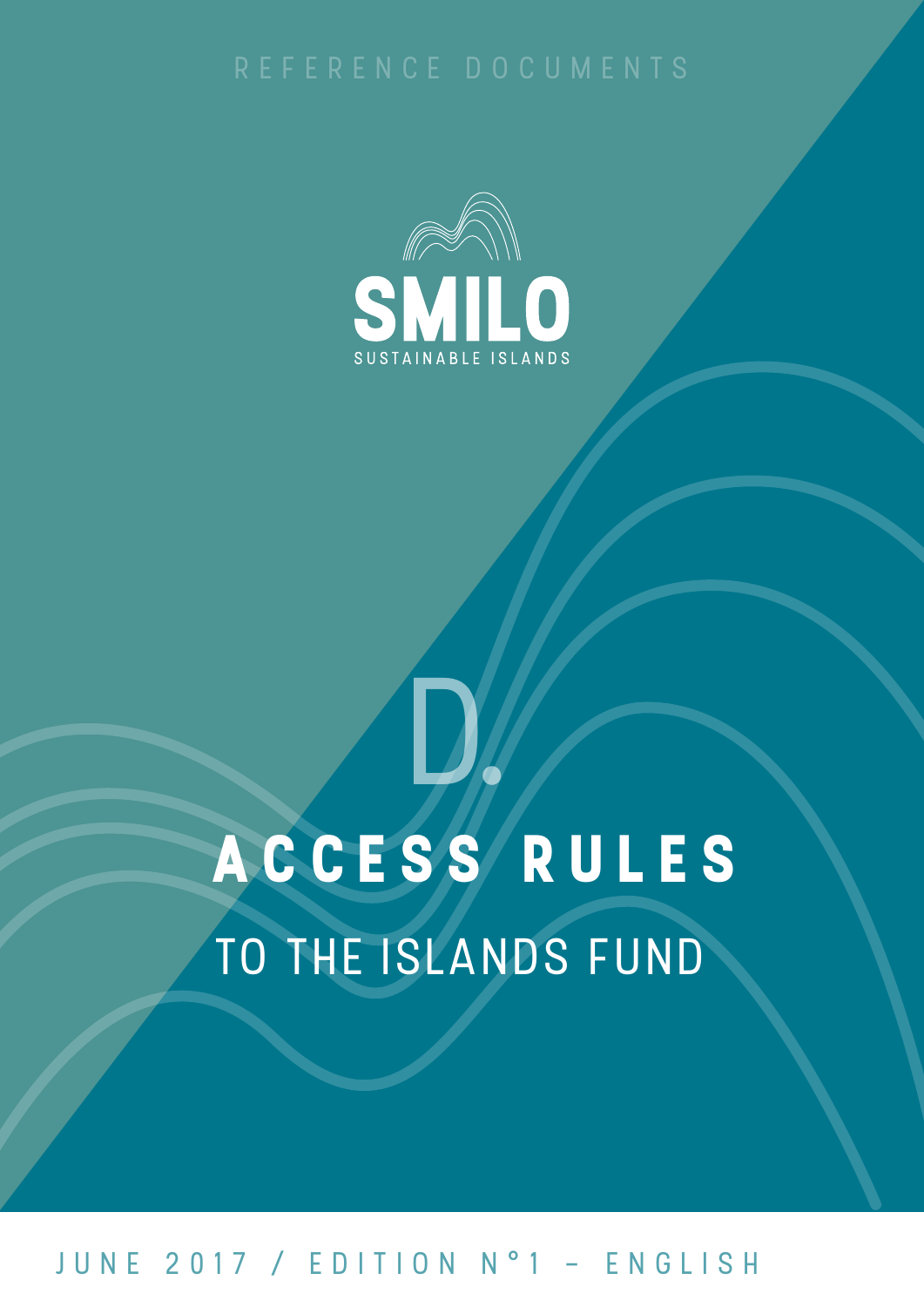

# A C C E S S R U L E S TO THE ISLANDS FUND d.

## june 2017 / edition n°1 - english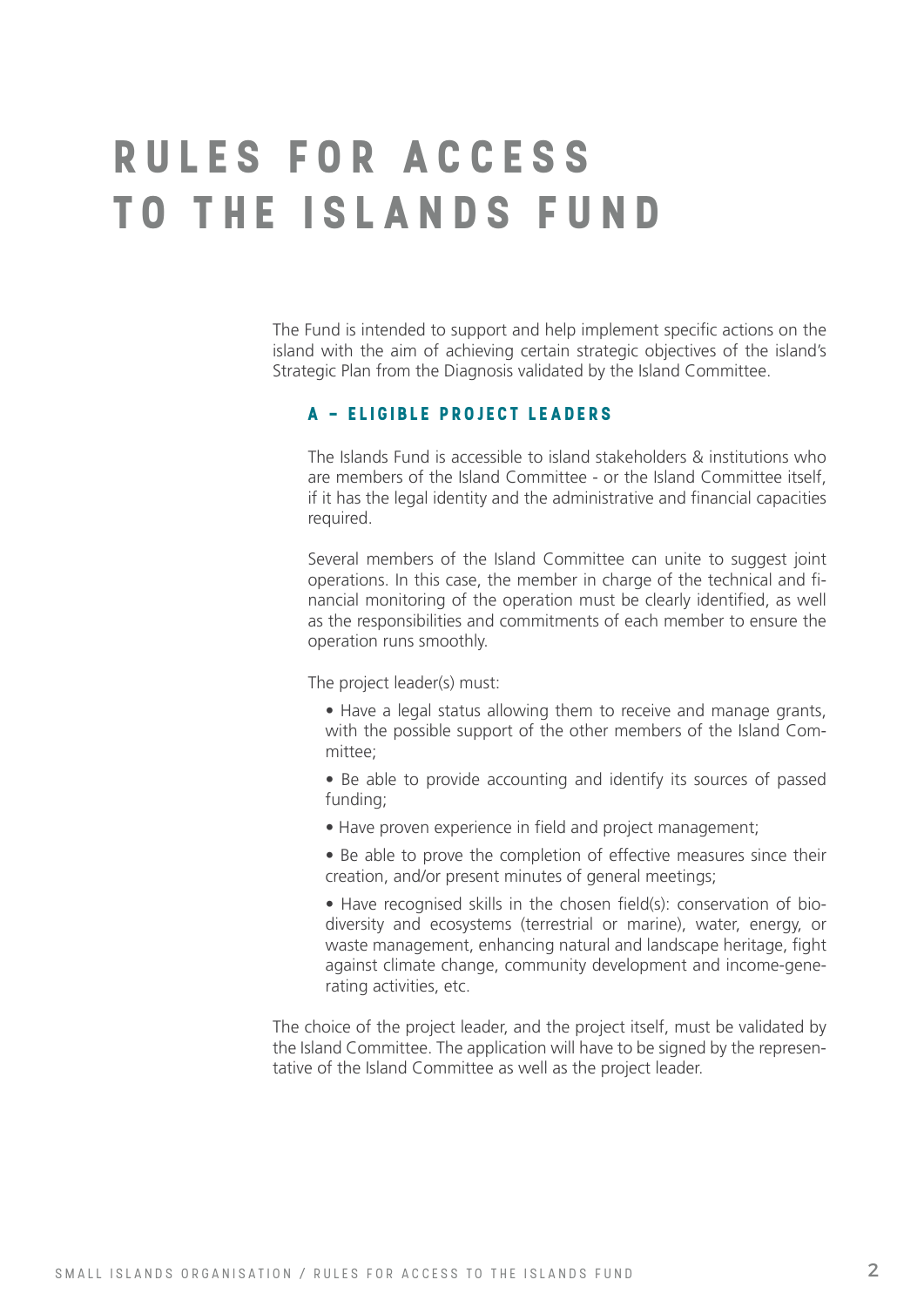## **RULES FOR ACCESS T O T H E I S L A N D S F U N D**

The Fund is intended to support and help implement specific actions on the island with the aim of achieving certain strategic objectives of the island's Strategic Plan from the Diagnosis validated by the Island Committee.

### **A - E li g i b le p ro j ect leaders**

The Islands Fund is accessible to island stakeholders & institutions who are members of the Island Committee - or the Island Committee itself, if it has the legal identity and the administrative and financial capacities required.

Several members of the Island Committee can unite to suggest joint operations. In this case, the member in charge of the technical and financial monitoring of the operation must be clearly identified, as well as the responsibilities and commitments of each member to ensure the operation runs smoothly.

The project leader(s) must:

- Have a legal status allowing them to receive and manage grants, with the possible support of the other members of the Island Committee;
- Be able to provide accounting and identify its sources of passed funding;
- Have proven experience in field and project management;

• Be able to prove the completion of effective measures since their creation, and/or present minutes of general meetings;

• Have recognised skills in the chosen field(s): conservation of biodiversity and ecosystems (terrestrial or marine), water, energy, or waste management, enhancing natural and landscape heritage, fight against climate change, community development and income-generating activities, etc.

The choice of the project leader, and the project itself, must be validated by the Island Committee. The application will have to be signed by the representative of the Island Committee as well as the project leader.